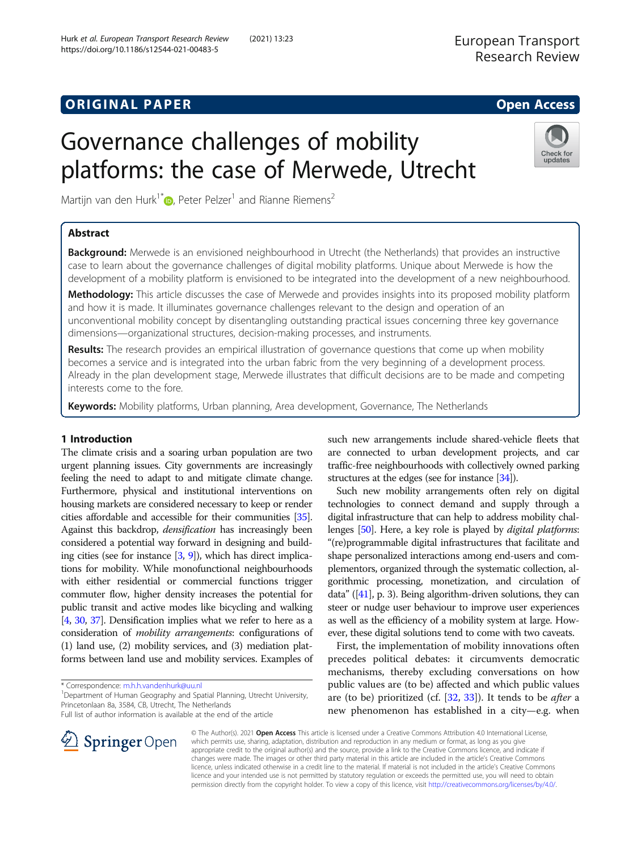# Governance challenges of mobility platforms: the case of Merwede, Utrecht

Martijn van den Hurk<sup>1[\\*](http://orcid.org/0000-0002-3200-4749)</sup> $\bullet$ , Peter Pelzer<sup>1</sup> and Rianne Riemens<sup>2</sup>

# Abstract

Background: Merwede is an envisioned neighbourhood in Utrecht (the Netherlands) that provides an instructive case to learn about the governance challenges of digital mobility platforms. Unique about Merwede is how the development of a mobility platform is envisioned to be integrated into the development of a new neighbourhood.

Methodology: This article discusses the case of Merwede and provides insights into its proposed mobility platform and how it is made. It illuminates governance challenges relevant to the design and operation of an unconventional mobility concept by disentangling outstanding practical issues concerning three key governance dimensions—organizational structures, decision-making processes, and instruments.

Results: The research provides an empirical illustration of governance questions that come up when mobility becomes a service and is integrated into the urban fabric from the very beginning of a development process. Already in the plan development stage, Merwede illustrates that difficult decisions are to be made and competing interests come to the fore.

Keywords: Mobility platforms, Urban planning, Area development, Governance, The Netherlands

## 1 Introduction

The climate crisis and a soaring urban population are two urgent planning issues. City governments are increasingly feeling the need to adapt to and mitigate climate change. Furthermore, physical and institutional interventions on housing markets are considered necessary to keep or render cities affordable and accessible for their communities [\[35](#page-10-0)]. Against this backdrop, densification has increasingly been considered a potential way forward in designing and building cities (see for instance [\[3,](#page-10-0) [9](#page-10-0)]), which has direct implications for mobility. While monofunctional neighbourhoods with either residential or commercial functions trigger commuter flow, higher density increases the potential for public transit and active modes like bicycling and walking [[4](#page-10-0), [30,](#page-10-0) [37](#page-10-0)]. Densification implies what we refer to here as a consideration of mobility arrangements: configurations of (1) land use, (2) mobility services, and (3) mediation platforms between land use and mobility services. Examples of

\* Correspondence: [m.h.h.vandenhurk@uu.nl](mailto:m.h.h.vandenhurk@uu.nl) <sup>1</sup>

<sup>1</sup> Department of Human Geography and Spatial Planning, Utrecht University, Princetonlaan 8a, 3584, CB, Utrecht, The Netherlands

Full list of author information is available at the end of the article

such new arrangements include shared-vehicle fleets that are connected to urban development projects, and car traffic-free neighbourhoods with collectively owned parking structures at the edges (see for instance [\[34\]](#page-10-0)).

Such new mobility arrangements often rely on digital technologies to connect demand and supply through a digital infrastructure that can help to address mobility chal-lenges [\[50\]](#page-11-0). Here, a key role is played by *digital platforms*: "(re)programmable digital infrastructures that facilitate and shape personalized interactions among end-users and complementors, organized through the systematic collection, algorithmic processing, monetization, and circulation of data"  $([41], p. 3)$  $([41], p. 3)$  $([41], p. 3)$ . Being algorithm-driven solutions, they can steer or nudge user behaviour to improve user experiences as well as the efficiency of a mobility system at large. However, these digital solutions tend to come with two caveats.

First, the implementation of mobility innovations often precedes political debates: it circumvents democratic mechanisms, thereby excluding conversations on how public values are (to be) affected and which public values are (to be) prioritized (cf.  $[32, 33]$  $[32, 33]$  $[32, 33]$  $[32, 33]$  $[32, 33]$ ). It tends to be *after* a new phenomenon has established in a city—e.g. when

© The Author(s). 2021 Open Access This article is licensed under a Creative Commons Attribution 4.0 International License, which permits use, sharing, adaptation, distribution and reproduction in any medium or format, as long as you give appropriate credit to the original author(s) and the source, provide a link to the Creative Commons licence, and indicate if changes were made. The images or other third party material in this article are included in the article's Creative Commons licence, unless indicated otherwise in a credit line to the material. If material is not included in the article's Creative Commons licence and your intended use is not permitted by statutory regulation or exceeds the permitted use, you will need to obtain permission directly from the copyright holder. To view a copy of this licence, visit <http://creativecommons.org/licenses/by/4.0/>.



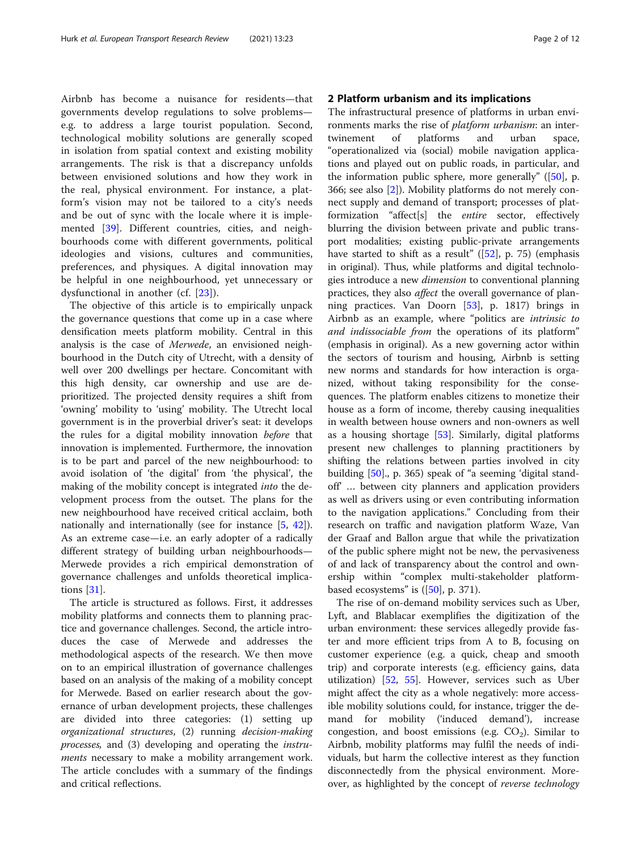Airbnb has become a nuisance for residents—that governments develop regulations to solve problems e.g. to address a large tourist population. Second, technological mobility solutions are generally scoped in isolation from spatial context and existing mobility arrangements. The risk is that a discrepancy unfolds between envisioned solutions and how they work in the real, physical environment. For instance, a platform's vision may not be tailored to a city's needs and be out of sync with the locale where it is implemented [[39\]](#page-10-0). Different countries, cities, and neighbourhoods come with different governments, political ideologies and visions, cultures and communities, preferences, and physiques. A digital innovation may be helpful in one neighbourhood, yet unnecessary or dysfunctional in another (cf. [[23\]](#page-10-0)).

The objective of this article is to empirically unpack the governance questions that come up in a case where densification meets platform mobility. Central in this analysis is the case of Merwede, an envisioned neighbourhood in the Dutch city of Utrecht, with a density of well over 200 dwellings per hectare. Concomitant with this high density, car ownership and use are deprioritized. The projected density requires a shift from 'owning' mobility to 'using' mobility. The Utrecht local government is in the proverbial driver's seat: it develops the rules for a digital mobility innovation before that innovation is implemented. Furthermore, the innovation is to be part and parcel of the new neighbourhood: to avoid isolation of 'the digital' from 'the physical', the making of the mobility concept is integrated into the development process from the outset. The plans for the new neighbourhood have received critical acclaim, both nationally and internationally (see for instance [[5,](#page-10-0) [42](#page-10-0)]). As an extreme case—i.e. an early adopter of a radically different strategy of building urban neighbourhoods— Merwede provides a rich empirical demonstration of governance challenges and unfolds theoretical implications [[31\]](#page-10-0).

The article is structured as follows. First, it addresses mobility platforms and connects them to planning practice and governance challenges. Second, the article introduces the case of Merwede and addresses the methodological aspects of the research. We then move on to an empirical illustration of governance challenges based on an analysis of the making of a mobility concept for Merwede. Based on earlier research about the governance of urban development projects, these challenges are divided into three categories: (1) setting up organizational structures, (2) running decision-making processes, and (3) developing and operating the instruments necessary to make a mobility arrangement work. The article concludes with a summary of the findings and critical reflections.

#### 2 Platform urbanism and its implications

The infrastructural presence of platforms in urban environments marks the rise of platform urbanism: an intertwinement of platforms and urban space, "operationalized via (social) mobile navigation applications and played out on public roads, in particular, and the information public sphere, more generally"  $(50)$ , p. 366; see also [[2\]](#page-10-0)). Mobility platforms do not merely connect supply and demand of transport; processes of platformization "affect[s] the entire sector, effectively blurring the division between private and public transport modalities; existing public-private arrangements have started to shift as a result"  $(52)$ , p. 75) (emphasis in original). Thus, while platforms and digital technologies introduce a new *dimension* to conventional planning practices, they also affect the overall governance of planning practices. Van Doorn [[53](#page-11-0)], p. 1817) brings in Airbnb as an example, where "politics are intrinsic to and indissociable from the operations of its platform" (emphasis in original). As a new governing actor within the sectors of tourism and housing, Airbnb is setting new norms and standards for how interaction is organized, without taking responsibility for the consequences. The platform enables citizens to monetize their house as a form of income, thereby causing inequalities in wealth between house owners and non-owners as well as a housing shortage [[53\]](#page-11-0). Similarly, digital platforms present new challenges to planning practitioners by shifting the relations between parties involved in city building [[50\]](#page-11-0)., p. 365) speak of "a seeming 'digital standoff' … between city planners and application providers as well as drivers using or even contributing information to the navigation applications." Concluding from their research on traffic and navigation platform Waze, Van der Graaf and Ballon argue that while the privatization of the public sphere might not be new, the pervasiveness of and lack of transparency about the control and ownership within "complex multi-stakeholder platformbased ecosystems" is  $([50], p. 371)$  $([50], p. 371)$  $([50], p. 371)$ .

The rise of on-demand mobility services such as Uber, Lyft, and Blablacar exemplifies the digitization of the urban environment: these services allegedly provide faster and more efficient trips from A to B, focusing on customer experience (e.g. a quick, cheap and smooth trip) and corporate interests (e.g. efficiency gains, data utilization) [\[52,](#page-11-0) [55\]](#page-11-0). However, services such as Uber might affect the city as a whole negatively: more accessible mobility solutions could, for instance, trigger the demand for mobility ('induced demand'), increase congestion, and boost emissions (e.g.  $CO<sub>2</sub>$ ). Similar to Airbnb, mobility platforms may fulfil the needs of individuals, but harm the collective interest as they function disconnectedly from the physical environment. Moreover, as highlighted by the concept of reverse technology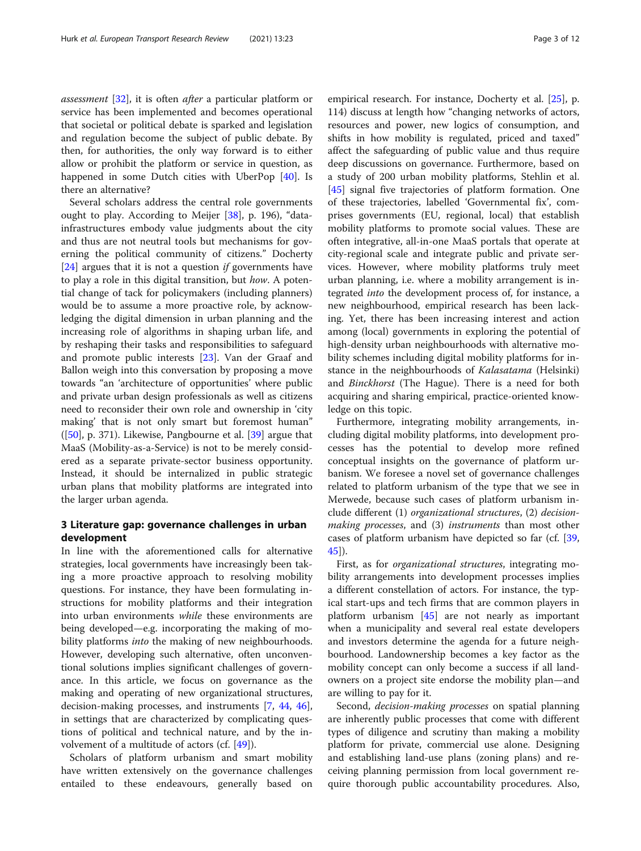assessment [\[32](#page-10-0)], it is often after a particular platform or service has been implemented and becomes operational that societal or political debate is sparked and legislation and regulation become the subject of public debate. By then, for authorities, the only way forward is to either allow or prohibit the platform or service in question, as happened in some Dutch cities with UberPop [\[40](#page-10-0)]. Is there an alternative?

Several scholars address the central role governments ought to play. According to Meijer [[38](#page-10-0)], p. 196), "datainfrastructures embody value judgments about the city and thus are not neutral tools but mechanisms for governing the political community of citizens." Docherty [ $24$ ] argues that it is not a question *if* governments have to play a role in this digital transition, but how. A potential change of tack for policymakers (including planners) would be to assume a more proactive role, by acknowledging the digital dimension in urban planning and the increasing role of algorithms in shaping urban life, and by reshaping their tasks and responsibilities to safeguard and promote public interests [[23](#page-10-0)]. Van der Graaf and Ballon weigh into this conversation by proposing a move towards "an 'architecture of opportunities' where public and private urban design professionals as well as citizens need to reconsider their own role and ownership in 'city making' that is not only smart but foremost human"  $([50], p. 371)$  $([50], p. 371)$  $([50], p. 371)$ . Likewise, Pangbourne et al.  $[39]$  $[39]$  argue that MaaS (Mobility-as-a-Service) is not to be merely considered as a separate private-sector business opportunity. Instead, it should be internalized in public strategic urban plans that mobility platforms are integrated into the larger urban agenda.

#### 3 Literature gap: governance challenges in urban development

In line with the aforementioned calls for alternative strategies, local governments have increasingly been taking a more proactive approach to resolving mobility questions. For instance, they have been formulating instructions for mobility platforms and their integration into urban environments while these environments are being developed—e.g. incorporating the making of mobility platforms *into* the making of new neighbourhoods. However, developing such alternative, often unconventional solutions implies significant challenges of governance. In this article, we focus on governance as the making and operating of new organizational structures, decision-making processes, and instruments [\[7](#page-10-0), [44](#page-10-0), [46](#page-11-0)], in settings that are characterized by complicating questions of political and technical nature, and by the involvement of a multitude of actors (cf. [\[49\]](#page-11-0)).

Scholars of platform urbanism and smart mobility have written extensively on the governance challenges entailed to these endeavours, generally based on empirical research. For instance, Docherty et al. [\[25](#page-10-0)], p.

114) discuss at length how "changing networks of actors, resources and power, new logics of consumption, and shifts in how mobility is regulated, priced and taxed" affect the safeguarding of public value and thus require deep discussions on governance. Furthermore, based on a study of 200 urban mobility platforms, Stehlin et al. [[45\]](#page-10-0) signal five trajectories of platform formation. One of these trajectories, labelled 'Governmental fix', comprises governments (EU, regional, local) that establish mobility platforms to promote social values. These are often integrative, all-in-one MaaS portals that operate at city-regional scale and integrate public and private services. However, where mobility platforms truly meet urban planning, i.e. where a mobility arrangement is integrated into the development process of, for instance, a new neighbourhood, empirical research has been lacking. Yet, there has been increasing interest and action among (local) governments in exploring the potential of high-density urban neighbourhoods with alternative mobility schemes including digital mobility platforms for instance in the neighbourhoods of Kalasatama (Helsinki) and Binckhorst (The Hague). There is a need for both acquiring and sharing empirical, practice-oriented knowledge on this topic.

Furthermore, integrating mobility arrangements, including digital mobility platforms, into development processes has the potential to develop more refined conceptual insights on the governance of platform urbanism. We foresee a novel set of governance challenges related to platform urbanism of the type that we see in Merwede, because such cases of platform urbanism include different (1) organizational structures, (2) decisionmaking processes, and (3) instruments than most other cases of platform urbanism have depicted so far (cf. [[39](#page-10-0), [45\]](#page-10-0)).

First, as for organizational structures, integrating mobility arrangements into development processes implies a different constellation of actors. For instance, the typical start-ups and tech firms that are common players in platform urbanism [\[45\]](#page-10-0) are not nearly as important when a municipality and several real estate developers and investors determine the agenda for a future neighbourhood. Landownership becomes a key factor as the mobility concept can only become a success if all landowners on a project site endorse the mobility plan—and are willing to pay for it.

Second, *decision-making processes* on spatial planning are inherently public processes that come with different types of diligence and scrutiny than making a mobility platform for private, commercial use alone. Designing and establishing land-use plans (zoning plans) and receiving planning permission from local government require thorough public accountability procedures. Also,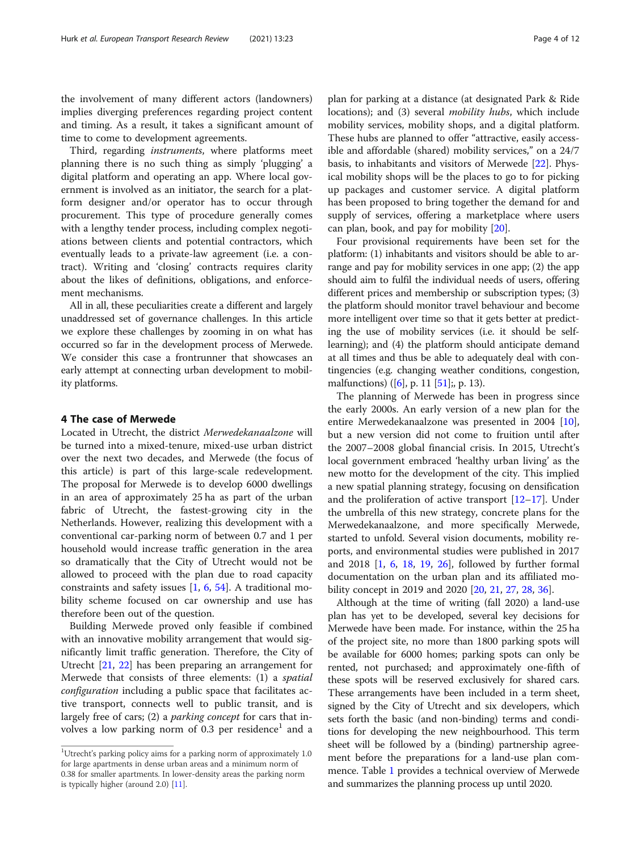the involvement of many different actors (landowners) implies diverging preferences regarding project content and timing. As a result, it takes a significant amount of time to come to development agreements.

Third, regarding instruments, where platforms meet planning there is no such thing as simply 'plugging' a digital platform and operating an app. Where local government is involved as an initiator, the search for a platform designer and/or operator has to occur through procurement. This type of procedure generally comes with a lengthy tender process, including complex negotiations between clients and potential contractors, which eventually leads to a private-law agreement (i.e. a contract). Writing and 'closing' contracts requires clarity about the likes of definitions, obligations, and enforcement mechanisms.

All in all, these peculiarities create a different and largely unaddressed set of governance challenges. In this article we explore these challenges by zooming in on what has occurred so far in the development process of Merwede. We consider this case a frontrunner that showcases an early attempt at connecting urban development to mobility platforms.

#### 4 The case of Merwede

Located in Utrecht, the district Merwedekanaalzone will be turned into a mixed-tenure, mixed-use urban district over the next two decades, and Merwede (the focus of this article) is part of this large-scale redevelopment. The proposal for Merwede is to develop 6000 dwellings in an area of approximately 25 ha as part of the urban fabric of Utrecht, the fastest-growing city in the Netherlands. However, realizing this development with a conventional car-parking norm of between 0.7 and 1 per household would increase traffic generation in the area so dramatically that the City of Utrecht would not be allowed to proceed with the plan due to road capacity constraints and safety issues [\[1](#page-10-0), [6](#page-10-0), [54\]](#page-11-0). A traditional mobility scheme focused on car ownership and use has therefore been out of the question.

Building Merwede proved only feasible if combined with an innovative mobility arrangement that would significantly limit traffic generation. Therefore, the City of Utrecht [[21,](#page-10-0) [22](#page-10-0)] has been preparing an arrangement for Merwede that consists of three elements: (1) a spatial configuration including a public space that facilitates active transport, connects well to public transit, and is largely free of cars; (2) a *parking concept* for cars that involves a low parking norm of  $0.3$  per residence<sup>1</sup> and a

plan for parking at a distance (at designated Park & Ride locations); and (3) several *mobility hubs*, which include mobility services, mobility shops, and a digital platform. These hubs are planned to offer "attractive, easily accessible and affordable (shared) mobility services," on a 24/7 basis, to inhabitants and visitors of Merwede [\[22](#page-10-0)]. Physical mobility shops will be the places to go to for picking up packages and customer service. A digital platform has been proposed to bring together the demand for and supply of services, offering a marketplace where users can plan, book, and pay for mobility [\[20\]](#page-10-0).

Four provisional requirements have been set for the platform: (1) inhabitants and visitors should be able to arrange and pay for mobility services in one app; (2) the app should aim to fulfil the individual needs of users, offering different prices and membership or subscription types; (3) the platform should monitor travel behaviour and become more intelligent over time so that it gets better at predicting the use of mobility services (i.e. it should be selflearning); and (4) the platform should anticipate demand at all times and thus be able to adequately deal with contingencies (e.g. changing weather conditions, congestion, malfunctions) ([[6\]](#page-10-0), p. 11 [\[51](#page-11-0)];, p. 13).

The planning of Merwede has been in progress since the early 2000s. An early version of a new plan for the entire Merwedekanaalzone was presented in 2004 [\[10](#page-10-0)], but a new version did not come to fruition until after the 2007–2008 global financial crisis. In 2015, Utrecht's local government embraced 'healthy urban living' as the new motto for the development of the city. This implied a new spatial planning strategy, focusing on densification and the proliferation of active transport [\[12](#page-10-0)–[17\]](#page-10-0). Under the umbrella of this new strategy, concrete plans for the Merwedekanaalzone, and more specifically Merwede, started to unfold. Several vision documents, mobility reports, and environmental studies were published in 2017 and 2018 [\[1](#page-10-0), [6,](#page-10-0) [18,](#page-10-0) [19](#page-10-0), [26](#page-10-0)], followed by further formal documentation on the urban plan and its affiliated mobility concept in 2019 and 2020 [\[20](#page-10-0), [21,](#page-10-0) [27,](#page-10-0) [28,](#page-10-0) [36\]](#page-10-0).

Although at the time of writing (fall 2020) a land-use plan has yet to be developed, several key decisions for Merwede have been made. For instance, within the 25 ha of the project site, no more than 1800 parking spots will be available for 6000 homes; parking spots can only be rented, not purchased; and approximately one-fifth of these spots will be reserved exclusively for shared cars. These arrangements have been included in a term sheet, signed by the City of Utrecht and six developers, which sets forth the basic (and non-binding) terms and conditions for developing the new neighbourhood. This term sheet will be followed by a (binding) partnership agreement before the preparations for a land-use plan commence. Table [1](#page-4-0) provides a technical overview of Merwede and summarizes the planning process up until 2020.

<sup>&</sup>lt;sup>1</sup>Utrecht's parking policy aims for a parking norm of approximately 1.0 for large apartments in dense urban areas and a minimum norm of 0.38 for smaller apartments. In lower-density areas the parking norm is typically higher (around 2.0) [[11\]](#page-10-0).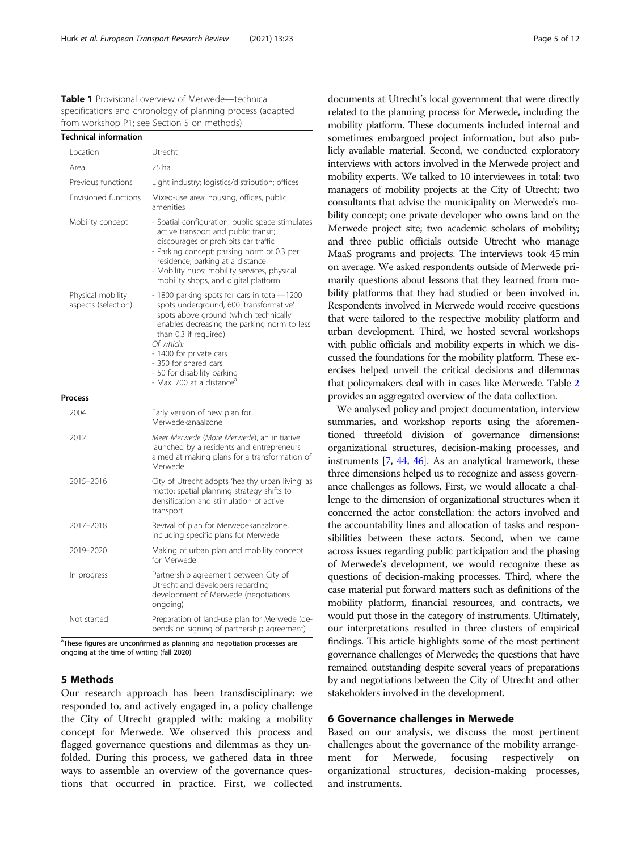<span id="page-4-0"></span>Table 1 Provisional overview of Merwede-technical specifications and chronology of planning process (adapted from workshop P1; see Section 5 on methods)

 $T$  Technical information

| Technical information                    |                                                                                                                                                                                                                                                                                                                                                  |
|------------------------------------------|--------------------------------------------------------------------------------------------------------------------------------------------------------------------------------------------------------------------------------------------------------------------------------------------------------------------------------------------------|
| Location                                 | Utrecht                                                                                                                                                                                                                                                                                                                                          |
| Area                                     | 25 ha                                                                                                                                                                                                                                                                                                                                            |
| Previous functions                       | Light industry; logistics/distribution; offices                                                                                                                                                                                                                                                                                                  |
| Envisioned functions                     | Mixed-use area: housing, offices, public<br>amenities                                                                                                                                                                                                                                                                                            |
| Mobility concept                         | - Spatial configuration: public space stimulates<br>active transport and public transit;<br>discourages or prohibits car traffic<br>- Parking concept: parking norm of 0.3 per<br>residence; parking at a distance<br>- Mobility hubs: mobility services, physical<br>mobility shops, and digital platform                                       |
| Physical mobility<br>aspects (selection) | - 1800 parking spots for cars in total-1200<br>spots underground, 600 'transformative'<br>spots above ground (which technically<br>enables decreasing the parking norm to less<br>than 0.3 if required)<br>Of which:<br>- 1400 for private cars<br>- 350 for shared cars<br>- 50 for disability parking<br>- Max. 700 at a distance <sup>a</sup> |
| Process                                  |                                                                                                                                                                                                                                                                                                                                                  |
| 2004                                     | Early version of new plan for<br>Merwedekanaalzone                                                                                                                                                                                                                                                                                               |
| 2012                                     | Meer Merwede (More Merwede), an initiative<br>launched by a residents and entrepreneurs<br>aimed at making plans for a transformation of<br>Merwede                                                                                                                                                                                              |
| 2015-2016                                | City of Utrecht adopts 'healthy urban living' as<br>motto; spatial planning strategy shifts to<br>densification and stimulation of active<br>transport                                                                                                                                                                                           |
| 2017-2018                                | Revival of plan for Merwedekanaalzone,<br>including specific plans for Merwede                                                                                                                                                                                                                                                                   |
| 2019-2020                                | Making of urban plan and mobility concept<br>for Merwede                                                                                                                                                                                                                                                                                         |
| In progress                              | Partnership agreement between City of<br>Utrecht and developers regarding<br>development of Merwede (negotiations<br>ongoing)                                                                                                                                                                                                                    |
| Not started                              | Preparation of land-use plan for Merwede (de-<br>pends on signing of partnership agreement)                                                                                                                                                                                                                                                      |

<sup>a</sup>These figures are unconfirmed as planning and negotiation processes are ongoing at the time of writing (fall 2020)

#### 5 Methods

Our research approach has been transdisciplinary: we responded to, and actively engaged in, a policy challenge the City of Utrecht grappled with: making a mobility concept for Merwede. We observed this process and flagged governance questions and dilemmas as they unfolded. During this process, we gathered data in three ways to assemble an overview of the governance questions that occurred in practice. First, we collected

documents at Utrecht's local government that were directly related to the planning process for Merwede, including the mobility platform. These documents included internal and sometimes embargoed project information, but also publicly available material. Second, we conducted exploratory interviews with actors involved in the Merwede project and mobility experts. We talked to 10 interviewees in total: two managers of mobility projects at the City of Utrecht; two consultants that advise the municipality on Merwede's mobility concept; one private developer who owns land on the Merwede project site; two academic scholars of mobility; and three public officials outside Utrecht who manage MaaS programs and projects. The interviews took 45 min on average. We asked respondents outside of Merwede primarily questions about lessons that they learned from mobility platforms that they had studied or been involved in. Respondents involved in Merwede would receive questions that were tailored to the respective mobility platform and urban development. Third, we hosted several workshops with public officials and mobility experts in which we discussed the foundations for the mobility platform. These exercises helped unveil the critical decisions and dilemmas that policymakers deal with in cases like Merwede. Table [2](#page-5-0) provides an aggregated overview of the data collection.

We analysed policy and project documentation, interview summaries, and workshop reports using the aforementioned threefold division of governance dimensions: organizational structures, decision-making processes, and instruments [\[7](#page-10-0), [44](#page-10-0), [46\]](#page-11-0). As an analytical framework, these three dimensions helped us to recognize and assess governance challenges as follows. First, we would allocate a challenge to the dimension of organizational structures when it concerned the actor constellation: the actors involved and the accountability lines and allocation of tasks and responsibilities between these actors. Second, when we came across issues regarding public participation and the phasing of Merwede's development, we would recognize these as questions of decision-making processes. Third, where the case material put forward matters such as definitions of the mobility platform, financial resources, and contracts, we would put those in the category of instruments. Ultimately, our interpretations resulted in three clusters of empirical findings. This article highlights some of the most pertinent governance challenges of Merwede; the questions that have remained outstanding despite several years of preparations by and negotiations between the City of Utrecht and other stakeholders involved in the development.

#### 6 Governance challenges in Merwede

Based on our analysis, we discuss the most pertinent challenges about the governance of the mobility arrangement for Merwede, focusing respectively on organizational structures, decision-making processes, and instruments.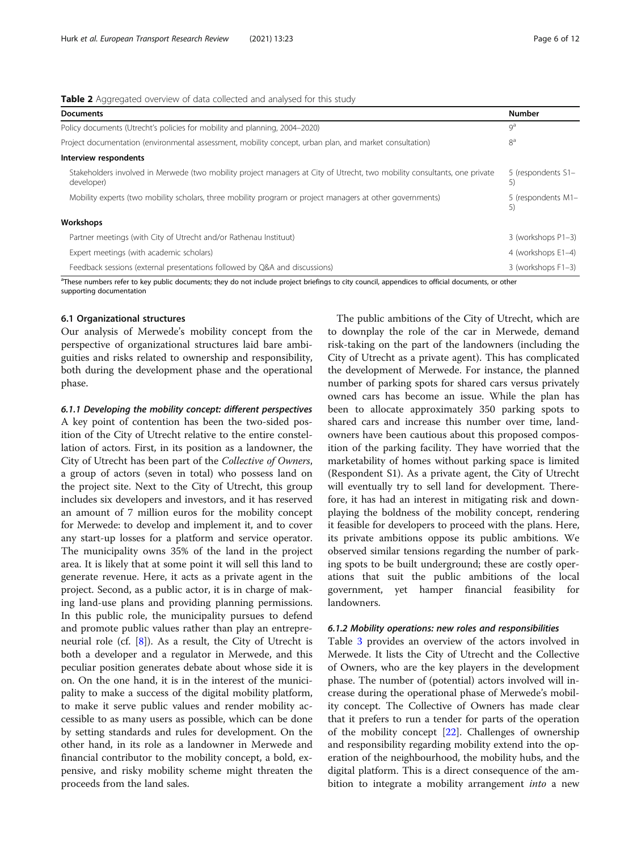<span id="page-5-0"></span>

| Table 2 Aggregated overview of data collected and analysed for this study |  |  |  |
|---------------------------------------------------------------------------|--|--|--|
|                                                                           |  |  |  |

| $\blacksquare$ , representative contracted the conduction of the state $\eta$                                                           |                          |
|-----------------------------------------------------------------------------------------------------------------------------------------|--------------------------|
| <b>Documents</b>                                                                                                                        | <b>Number</b>            |
| Policy documents (Utrecht's policies for mobility and planning, 2004–2020)                                                              | $Q^a$                    |
| Project documentation (environmental assessment, mobility concept, urban plan, and market consultation)                                 | 8 <sup>a</sup>           |
| Interview respondents                                                                                                                   |                          |
| Stakeholders involved in Merwede (two mobility project managers at City of Utrecht, two mobility consultants, one private<br>developer) | 5 (respondents S1-<br>5) |
| Mobility experts (two mobility scholars, three mobility program or project managers at other governments)                               | 5 (respondents M1-<br>5) |
| Workshops                                                                                                                               |                          |
| Partner meetings (with City of Utrecht and/or Rathenau Instituut)                                                                       | 3 (workshops P1-3)       |
| Expert meetings (with academic scholars)                                                                                                | 4 (workshops E1-4)       |
| Feedback sessions (external presentations followed by Q&A and discussions)                                                              | 3 (workshops F1-3)       |

<sup>a</sup>These numbers refer to key public documents; they do not include project briefings to city council, appendices to official documents, or other supporting documentation

#### 6.1 Organizational structures

Our analysis of Merwede's mobility concept from the perspective of organizational structures laid bare ambiguities and risks related to ownership and responsibility, both during the development phase and the operational phase.

#### 6.1.1 Developing the mobility concept: different perspectives

A key point of contention has been the two-sided position of the City of Utrecht relative to the entire constellation of actors. First, in its position as a landowner, the City of Utrecht has been part of the Collective of Owners, a group of actors (seven in total) who possess land on the project site. Next to the City of Utrecht, this group includes six developers and investors, and it has reserved an amount of 7 million euros for the mobility concept for Merwede: to develop and implement it, and to cover any start-up losses for a platform and service operator. The municipality owns 35% of the land in the project area. It is likely that at some point it will sell this land to generate revenue. Here, it acts as a private agent in the project. Second, as a public actor, it is in charge of making land-use plans and providing planning permissions. In this public role, the municipality pursues to defend and promote public values rather than play an entrepreneurial role (cf. [[8\]](#page-10-0)). As a result, the City of Utrecht is both a developer and a regulator in Merwede, and this peculiar position generates debate about whose side it is on. On the one hand, it is in the interest of the municipality to make a success of the digital mobility platform, to make it serve public values and render mobility accessible to as many users as possible, which can be done by setting standards and rules for development. On the other hand, in its role as a landowner in Merwede and financial contributor to the mobility concept, a bold, expensive, and risky mobility scheme might threaten the proceeds from the land sales.

The public ambitions of the City of Utrecht, which are to downplay the role of the car in Merwede, demand risk-taking on the part of the landowners (including the City of Utrecht as a private agent). This has complicated the development of Merwede. For instance, the planned number of parking spots for shared cars versus privately owned cars has become an issue. While the plan has been to allocate approximately 350 parking spots to shared cars and increase this number over time, landowners have been cautious about this proposed composition of the parking facility. They have worried that the marketability of homes without parking space is limited (Respondent S1). As a private agent, the City of Utrecht will eventually try to sell land for development. Therefore, it has had an interest in mitigating risk and downplaying the boldness of the mobility concept, rendering it feasible for developers to proceed with the plans. Here, its private ambitions oppose its public ambitions. We observed similar tensions regarding the number of parking spots to be built underground; these are costly operations that suit the public ambitions of the local government, yet hamper financial feasibility for landowners.

#### 6.1.2 Mobility operations: new roles and responsibilities

Table [3](#page-6-0) provides an overview of the actors involved in Merwede. It lists the City of Utrecht and the Collective of Owners, who are the key players in the development phase. The number of (potential) actors involved will increase during the operational phase of Merwede's mobility concept. The Collective of Owners has made clear that it prefers to run a tender for parts of the operation of the mobility concept [\[22](#page-10-0)]. Challenges of ownership and responsibility regarding mobility extend into the operation of the neighbourhood, the mobility hubs, and the digital platform. This is a direct consequence of the ambition to integrate a mobility arrangement *into* a new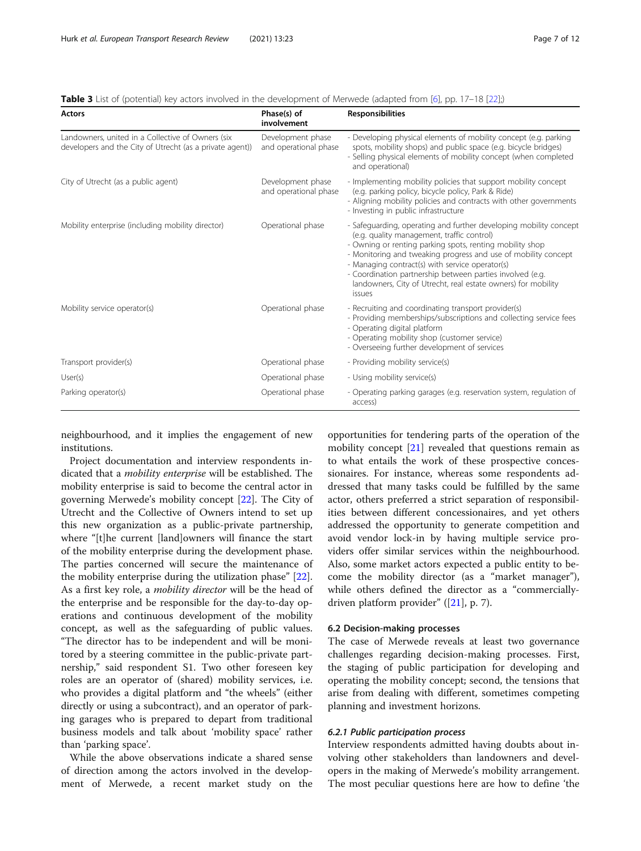<span id="page-6-0"></span>

| Actors                                                                                                        | Phase(s) of<br>involvement                 | <b>Responsibilities</b>                                                                                                                                                                                                                                                                                                                                                                                                                  |
|---------------------------------------------------------------------------------------------------------------|--------------------------------------------|------------------------------------------------------------------------------------------------------------------------------------------------------------------------------------------------------------------------------------------------------------------------------------------------------------------------------------------------------------------------------------------------------------------------------------------|
| Landowners, united in a Collective of Owners (six<br>developers and the City of Utrecht (as a private agent)) | Development phase<br>and operational phase | - Developing physical elements of mobility concept (e.g. parking<br>spots, mobility shops) and public space (e.g. bicycle bridges)<br>- Selling physical elements of mobility concept (when completed<br>and operational)                                                                                                                                                                                                                |
| City of Utrecht (as a public agent)                                                                           | Development phase<br>and operational phase | - Implementing mobility policies that support mobility concept<br>(e.g. parking policy, bicycle policy, Park & Ride)<br>- Aligning mobility policies and contracts with other governments<br>- Investing in public infrastructure                                                                                                                                                                                                        |
| Mobility enterprise (including mobility director)                                                             | Operational phase                          | - Safeguarding, operating and further developing mobility concept<br>(e.g. quality management, traffic control)<br>- Owning or renting parking spots, renting mobility shop<br>- Monitoring and tweaking progress and use of mobility concept<br>- Managing contract(s) with service operator(s)<br>- Coordination partnership between parties involved (e.g.<br>landowners, City of Utrecht, real estate owners) for mobility<br>issues |
| Mobility service operator(s)                                                                                  | Operational phase                          | - Recruiting and coordinating transport provider(s)<br>- Providing memberships/subscriptions and collecting service fees<br>- Operating digital platform<br>- Operating mobility shop (customer service)<br>- Overseeing further development of services                                                                                                                                                                                 |
| Transport provider(s)                                                                                         | Operational phase                          | - Providing mobility service(s)                                                                                                                                                                                                                                                                                                                                                                                                          |
| User(s)                                                                                                       | Operational phase                          | - Using mobility service(s)                                                                                                                                                                                                                                                                                                                                                                                                              |
| Parking operator(s)                                                                                           | Operational phase                          | - Operating parking garages (e.g. reservation system, regulation of<br>access)                                                                                                                                                                                                                                                                                                                                                           |

neighbourhood, and it implies the engagement of new institutions.

Project documentation and interview respondents indicated that a mobility enterprise will be established. The mobility enterprise is said to become the central actor in governing Merwede's mobility concept [[22\]](#page-10-0). The City of Utrecht and the Collective of Owners intend to set up this new organization as a public-private partnership, where "[t]he current [land]owners will finance the start of the mobility enterprise during the development phase. The parties concerned will secure the maintenance of the mobility enterprise during the utilization phase" [\[22](#page-10-0)]. As a first key role, a *mobility director* will be the head of the enterprise and be responsible for the day-to-day operations and continuous development of the mobility concept, as well as the safeguarding of public values. "The director has to be independent and will be monitored by a steering committee in the public-private partnership," said respondent S1. Two other foreseen key roles are an operator of (shared) mobility services, i.e. who provides a digital platform and "the wheels" (either directly or using a subcontract), and an operator of parking garages who is prepared to depart from traditional business models and talk about 'mobility space' rather than 'parking space'.

While the above observations indicate a shared sense of direction among the actors involved in the development of Merwede, a recent market study on the

opportunities for tendering parts of the operation of the mobility concept [\[21](#page-10-0)] revealed that questions remain as to what entails the work of these prospective concessionaires. For instance, whereas some respondents addressed that many tasks could be fulfilled by the same actor, others preferred a strict separation of responsibilities between different concessionaires, and yet others addressed the opportunity to generate competition and avoid vendor lock-in by having multiple service providers offer similar services within the neighbourhood. Also, some market actors expected a public entity to become the mobility director (as a "market manager"), while others defined the director as a "commerciallydriven platform provider" ([[21\]](#page-10-0), p. 7).

#### 6.2 Decision-making processes

The case of Merwede reveals at least two governance challenges regarding decision-making processes. First, the staging of public participation for developing and operating the mobility concept; second, the tensions that arise from dealing with different, sometimes competing planning and investment horizons.

#### 6.2.1 Public participation process

Interview respondents admitted having doubts about involving other stakeholders than landowners and developers in the making of Merwede's mobility arrangement. The most peculiar questions here are how to define 'the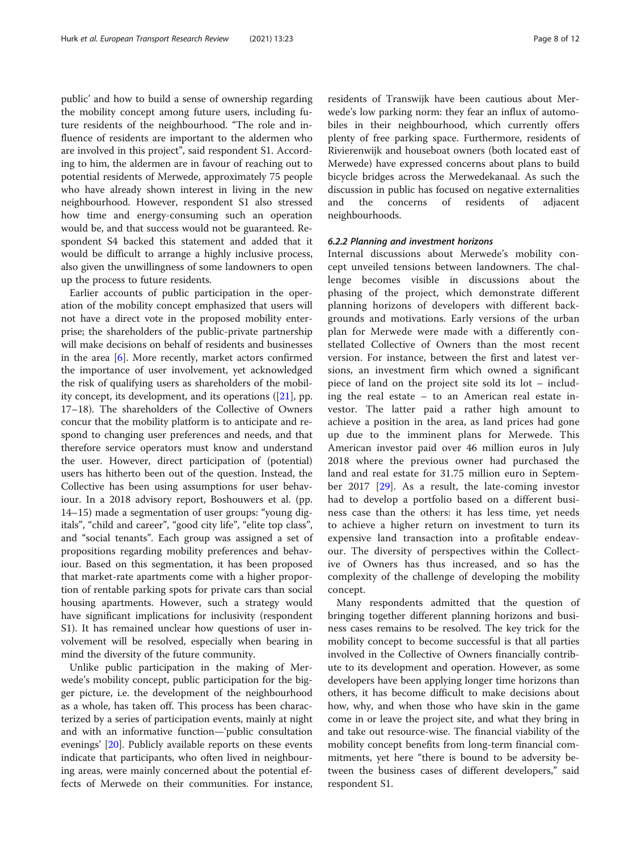public' and how to build a sense of ownership regarding the mobility concept among future users, including future residents of the neighbourhood. "The role and influence of residents are important to the aldermen who are involved in this project", said respondent S1. According to him, the aldermen are in favour of reaching out to potential residents of Merwede, approximately 75 people who have already shown interest in living in the new neighbourhood. However, respondent S1 also stressed how time and energy-consuming such an operation would be, and that success would not be guaranteed. Respondent S4 backed this statement and added that it would be difficult to arrange a highly inclusive process, also given the unwillingness of some landowners to open up the process to future residents.

Earlier accounts of public participation in the operation of the mobility concept emphasized that users will not have a direct vote in the proposed mobility enterprise; the shareholders of the public-private partnership will make decisions on behalf of residents and businesses in the area [\[6](#page-10-0)]. More recently, market actors confirmed the importance of user involvement, yet acknowledged the risk of qualifying users as shareholders of the mobility concept, its development, and its operations ([[21\]](#page-10-0), pp. 17–18). The shareholders of the Collective of Owners concur that the mobility platform is to anticipate and respond to changing user preferences and needs, and that therefore service operators must know and understand the user. However, direct participation of (potential) users has hitherto been out of the question. Instead, the Collective has been using assumptions for user behaviour. In a 2018 advisory report, Boshouwers et al. (pp. 14–15) made a segmentation of user groups: "young digitals", "child and career", "good city life", "elite top class", and "social tenants". Each group was assigned a set of propositions regarding mobility preferences and behaviour. Based on this segmentation, it has been proposed that market-rate apartments come with a higher proportion of rentable parking spots for private cars than social housing apartments. However, such a strategy would have significant implications for inclusivity (respondent S1). It has remained unclear how questions of user involvement will be resolved, especially when bearing in mind the diversity of the future community.

Unlike public participation in the making of Merwede's mobility concept, public participation for the bigger picture, i.e. the development of the neighbourhood as a whole, has taken off. This process has been characterized by a series of participation events, mainly at night and with an informative function—'public consultation evenings' [[20](#page-10-0)]. Publicly available reports on these events indicate that participants, who often lived in neighbouring areas, were mainly concerned about the potential effects of Merwede on their communities. For instance, residents of Transwijk have been cautious about Merwede's low parking norm: they fear an influx of automobiles in their neighbourhood, which currently offers plenty of free parking space. Furthermore, residents of Rivierenwijk and houseboat owners (both located east of Merwede) have expressed concerns about plans to build bicycle bridges across the Merwedekanaal. As such the discussion in public has focused on negative externalities and the concerns of residents of adjacent neighbourhoods.

#### 6.2.2 Planning and investment horizons

Internal discussions about Merwede's mobility concept unveiled tensions between landowners. The challenge becomes visible in discussions about the phasing of the project, which demonstrate different planning horizons of developers with different backgrounds and motivations. Early versions of the urban plan for Merwede were made with a differently constellated Collective of Owners than the most recent version. For instance, between the first and latest versions, an investment firm which owned a significant piece of land on the project site sold its lot – including the real estate – to an American real estate investor. The latter paid a rather high amount to achieve a position in the area, as land prices had gone up due to the imminent plans for Merwede. This American investor paid over 46 million euros in July 2018 where the previous owner had purchased the land and real estate for 31.75 million euro in September 2017 [[29\]](#page-10-0). As a result, the late-coming investor had to develop a portfolio based on a different business case than the others: it has less time, yet needs to achieve a higher return on investment to turn its expensive land transaction into a profitable endeavour. The diversity of perspectives within the Collective of Owners has thus increased, and so has the complexity of the challenge of developing the mobility concept.

Many respondents admitted that the question of bringing together different planning horizons and business cases remains to be resolved. The key trick for the mobility concept to become successful is that all parties involved in the Collective of Owners financially contribute to its development and operation. However, as some developers have been applying longer time horizons than others, it has become difficult to make decisions about how, why, and when those who have skin in the game come in or leave the project site, and what they bring in and take out resource-wise. The financial viability of the mobility concept benefits from long-term financial commitments, yet here "there is bound to be adversity between the business cases of different developers," said respondent S1.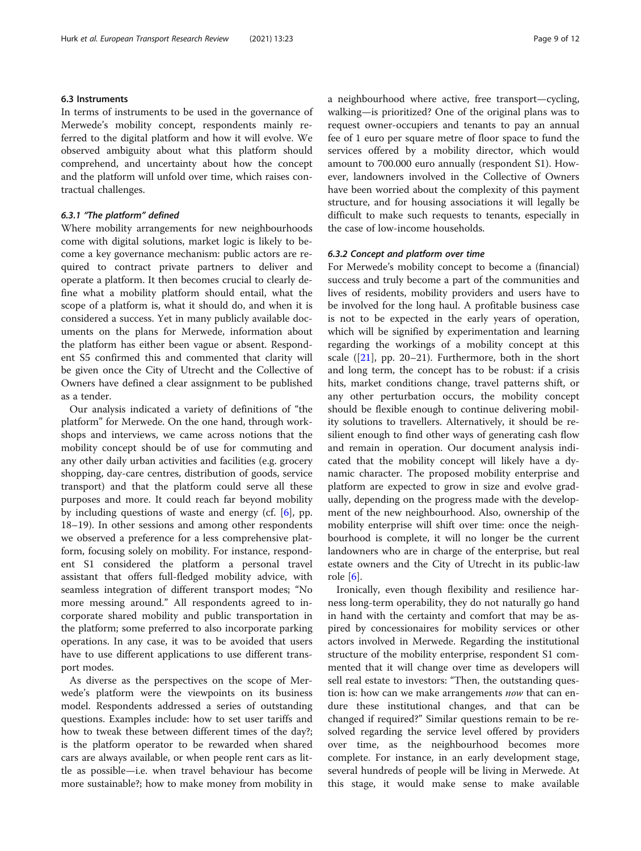#### 6.3 Instruments

In terms of instruments to be used in the governance of Merwede's mobility concept, respondents mainly referred to the digital platform and how it will evolve. We observed ambiguity about what this platform should comprehend, and uncertainty about how the concept and the platform will unfold over time, which raises contractual challenges.

#### 6.3.1 "The platform" defined

Where mobility arrangements for new neighbourhoods come with digital solutions, market logic is likely to become a key governance mechanism: public actors are required to contract private partners to deliver and operate a platform. It then becomes crucial to clearly define what a mobility platform should entail, what the scope of a platform is, what it should do, and when it is considered a success. Yet in many publicly available documents on the plans for Merwede, information about the platform has either been vague or absent. Respondent S5 confirmed this and commented that clarity will be given once the City of Utrecht and the Collective of Owners have defined a clear assignment to be published as a tender.

Our analysis indicated a variety of definitions of "the platform" for Merwede. On the one hand, through workshops and interviews, we came across notions that the mobility concept should be of use for commuting and any other daily urban activities and facilities (e.g. grocery shopping, day-care centres, distribution of goods, service transport) and that the platform could serve all these purposes and more. It could reach far beyond mobility by including questions of waste and energy (cf. [[6\]](#page-10-0), pp. 18–19). In other sessions and among other respondents we observed a preference for a less comprehensive platform, focusing solely on mobility. For instance, respondent S1 considered the platform a personal travel assistant that offers full-fledged mobility advice, with seamless integration of different transport modes; "No more messing around." All respondents agreed to incorporate shared mobility and public transportation in the platform; some preferred to also incorporate parking operations. In any case, it was to be avoided that users have to use different applications to use different transport modes.

As diverse as the perspectives on the scope of Merwede's platform were the viewpoints on its business model. Respondents addressed a series of outstanding questions. Examples include: how to set user tariffs and how to tweak these between different times of the day?; is the platform operator to be rewarded when shared cars are always available, or when people rent cars as little as possible—i.e. when travel behaviour has become more sustainable?; how to make money from mobility in a neighbourhood where active, free transport—cycling, walking—is prioritized? One of the original plans was to request owner-occupiers and tenants to pay an annual fee of 1 euro per square metre of floor space to fund the services offered by a mobility director, which would amount to 700.000 euro annually (respondent S1). However, landowners involved in the Collective of Owners have been worried about the complexity of this payment structure, and for housing associations it will legally be difficult to make such requests to tenants, especially in the case of low-income households.

#### 6.3.2 Concept and platform over time

For Merwede's mobility concept to become a (financial) success and truly become a part of the communities and lives of residents, mobility providers and users have to be involved for the long haul. A profitable business case is not to be expected in the early years of operation, which will be signified by experimentation and learning regarding the workings of a mobility concept at this scale  $([21]$  $([21]$ , pp. 20–21). Furthermore, both in the short and long term, the concept has to be robust: if a crisis hits, market conditions change, travel patterns shift, or any other perturbation occurs, the mobility concept should be flexible enough to continue delivering mobility solutions to travellers. Alternatively, it should be resilient enough to find other ways of generating cash flow and remain in operation. Our document analysis indicated that the mobility concept will likely have a dynamic character. The proposed mobility enterprise and platform are expected to grow in size and evolve gradually, depending on the progress made with the development of the new neighbourhood. Also, ownership of the mobility enterprise will shift over time: once the neighbourhood is complete, it will no longer be the current landowners who are in charge of the enterprise, but real estate owners and the City of Utrecht in its public-law role [[6](#page-10-0)].

Ironically, even though flexibility and resilience harness long-term operability, they do not naturally go hand in hand with the certainty and comfort that may be aspired by concessionaires for mobility services or other actors involved in Merwede. Regarding the institutional structure of the mobility enterprise, respondent S1 commented that it will change over time as developers will sell real estate to investors: "Then, the outstanding question is: how can we make arrangements *now* that can endure these institutional changes, and that can be changed if required?" Similar questions remain to be resolved regarding the service level offered by providers over time, as the neighbourhood becomes more complete. For instance, in an early development stage, several hundreds of people will be living in Merwede. At this stage, it would make sense to make available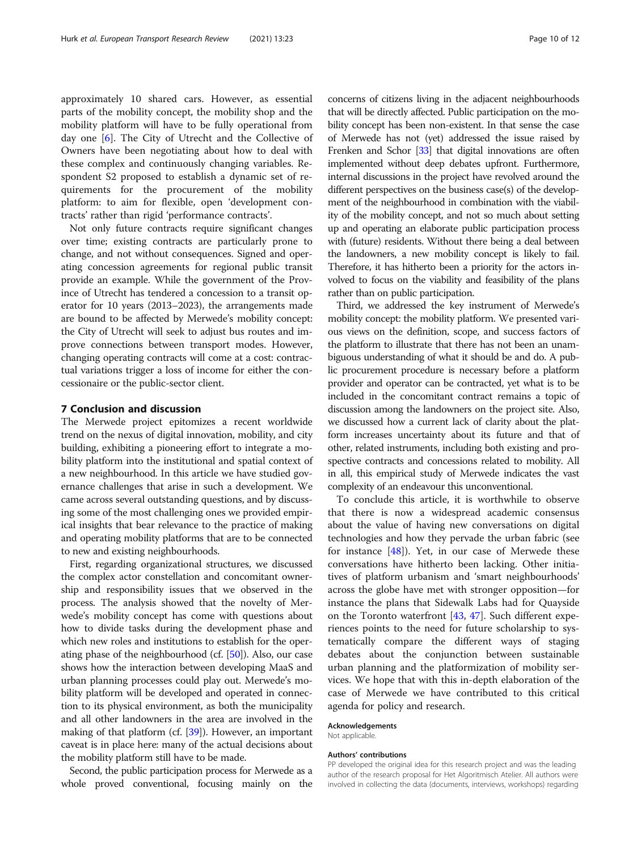approximately 10 shared cars. However, as essential parts of the mobility concept, the mobility shop and the mobility platform will have to be fully operational from day one [\[6](#page-10-0)]. The City of Utrecht and the Collective of Owners have been negotiating about how to deal with these complex and continuously changing variables. Respondent S2 proposed to establish a dynamic set of requirements for the procurement of the mobility platform: to aim for flexible, open 'development contracts' rather than rigid 'performance contracts'.

Not only future contracts require significant changes over time; existing contracts are particularly prone to change, and not without consequences. Signed and operating concession agreements for regional public transit provide an example. While the government of the Province of Utrecht has tendered a concession to a transit operator for 10 years (2013–2023), the arrangements made are bound to be affected by Merwede's mobility concept: the City of Utrecht will seek to adjust bus routes and improve connections between transport modes. However, changing operating contracts will come at a cost: contractual variations trigger a loss of income for either the concessionaire or the public-sector client.

#### 7 Conclusion and discussion

The Merwede project epitomizes a recent worldwide trend on the nexus of digital innovation, mobility, and city building, exhibiting a pioneering effort to integrate a mobility platform into the institutional and spatial context of a new neighbourhood. In this article we have studied governance challenges that arise in such a development. We came across several outstanding questions, and by discussing some of the most challenging ones we provided empirical insights that bear relevance to the practice of making and operating mobility platforms that are to be connected to new and existing neighbourhoods.

First, regarding organizational structures, we discussed the complex actor constellation and concomitant ownership and responsibility issues that we observed in the process. The analysis showed that the novelty of Merwede's mobility concept has come with questions about how to divide tasks during the development phase and which new roles and institutions to establish for the operating phase of the neighbourhood (cf. [\[50](#page-11-0)]). Also, our case shows how the interaction between developing MaaS and urban planning processes could play out. Merwede's mobility platform will be developed and operated in connection to its physical environment, as both the municipality and all other landowners in the area are involved in the making of that platform (cf. [\[39](#page-10-0)]). However, an important caveat is in place here: many of the actual decisions about the mobility platform still have to be made.

Second, the public participation process for Merwede as a whole proved conventional, focusing mainly on the concerns of citizens living in the adjacent neighbourhoods that will be directly affected. Public participation on the mobility concept has been non-existent. In that sense the case of Merwede has not (yet) addressed the issue raised by Frenken and Schor [\[33](#page-10-0)] that digital innovations are often implemented without deep debates upfront. Furthermore, internal discussions in the project have revolved around the different perspectives on the business case(s) of the development of the neighbourhood in combination with the viability of the mobility concept, and not so much about setting up and operating an elaborate public participation process with (future) residents. Without there being a deal between the landowners, a new mobility concept is likely to fail. Therefore, it has hitherto been a priority for the actors involved to focus on the viability and feasibility of the plans rather than on public participation.

Third, we addressed the key instrument of Merwede's mobility concept: the mobility platform. We presented various views on the definition, scope, and success factors of the platform to illustrate that there has not been an unambiguous understanding of what it should be and do. A public procurement procedure is necessary before a platform provider and operator can be contracted, yet what is to be included in the concomitant contract remains a topic of discussion among the landowners on the project site. Also, we discussed how a current lack of clarity about the platform increases uncertainty about its future and that of other, related instruments, including both existing and prospective contracts and concessions related to mobility. All in all, this empirical study of Merwede indicates the vast complexity of an endeavour this unconventional.

To conclude this article, it is worthwhile to observe that there is now a widespread academic consensus about the value of having new conversations on digital technologies and how they pervade the urban fabric (see for instance  $[48]$ ). Yet, in our case of Merwede these conversations have hitherto been lacking. Other initiatives of platform urbanism and 'smart neighbourhoods' across the globe have met with stronger opposition—for instance the plans that Sidewalk Labs had for Quayside on the Toronto waterfront [\[43](#page-10-0), [47](#page-11-0)]. Such different experiences points to the need for future scholarship to systematically compare the different ways of staging debates about the conjunction between sustainable urban planning and the platformization of mobility services. We hope that with this in-depth elaboration of the case of Merwede we have contributed to this critical agenda for policy and research.

#### Acknowledgements

Not applicable.

#### Authors' contributions

PP developed the original idea for this research project and was the leading author of the research proposal for Het Algoritmisch Atelier. All authors were involved in collecting the data (documents, interviews, workshops) regarding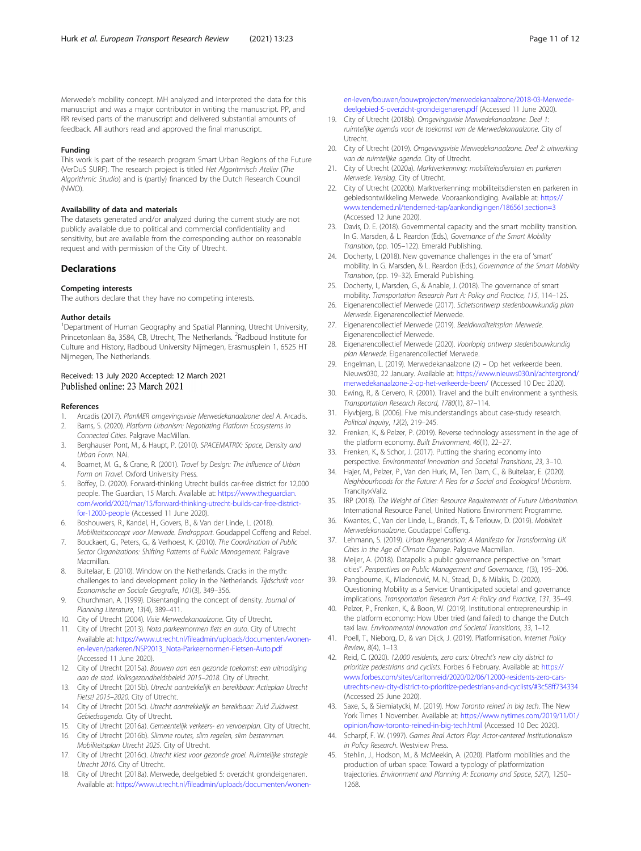<span id="page-10-0"></span>Merwede's mobility concept. MH analyzed and interpreted the data for this manuscript and was a major contributor in writing the manuscript. PP, and RR revised parts of the manuscript and delivered substantial amounts of feedback. All authors read and approved the final manuscript.

#### Funding

This work is part of the research program Smart Urban Regions of the Future (VerDuS SURF). The research project is titled Het Algoritmisch Atelier (The Algorithmic Studio) and is (partly) financed by the Dutch Research Council (NWO).

#### Availability of data and materials

The datasets generated and/or analyzed during the current study are not publicly available due to political and commercial confidentiality and sensitivity, but are available from the corresponding author on reasonable request and with permission of the City of Utrecht.

#### **Declarations**

#### Competing interests

The authors declare that they have no competing interests.

#### Author details

<sup>1</sup>Department of Human Geography and Spatial Planning, Utrecht University, Princetonlaan 8a, 3584, CB, Utrecht, The Netherlands. <sup>2</sup>Radboud Institute for Culture and History, Radboud University Nijmegen, Erasmusplein 1, 6525 HT Nijmegen, The Netherlands.

#### Received: 13 July 2020 Accepted: 12 March 2021 Published online: 23 March 2021

#### References

- 1. Arcadis (2017). PlanMER omgevingsvisie Merwedekanaalzone: deel A. Arcadis. 2. Barns, S. (2020). Platform Urbanism: Negotiating Platform Ecosystems in
- Connected Cities. Palgrave MacMillan.
- 3. Berghauser Pont, M., & Haupt, P. (2010). SPACEMATRIX: Space, Density and Urban Form. NAi.
- 4. Boarnet, M. G., & Crane, R. (2001). Travel by Design: The Influence of Urban Form on Travel. Oxford University Press.
- 5. Boffey, D. (2020). Forward-thinking Utrecht builds car-free district for 12,000 people. The Guardian, 15 March. Available at: [https://www.theguardian.](https://www.theguardian.com/world/2020/mar/15/forward-thinking-utrecht-builds-car-free-district-for-12000-people) [com/world/2020/mar/15/forward-thinking-utrecht-builds-car-free-district](https://www.theguardian.com/world/2020/mar/15/forward-thinking-utrecht-builds-car-free-district-for-12000-people)[for-12000-people](https://www.theguardian.com/world/2020/mar/15/forward-thinking-utrecht-builds-car-free-district-for-12000-people) (Accessed 11 June 2020).
- 6. Boshouwers, R., Kandel, H., Govers, B., & Van der Linde, L. (2018). Mobiliteitsconcept voor Merwede. Eindrapport. Goudappel Coffeng and Rebel.
- 7. Bouckaert, G., Peters, G., & Verhoest, K. (2010). The Coordination of Public Sector Organizations: Shifting Patterns of Public Management. Palgrave Macmillan.
- 8. Buitelaar, E. (2010). Window on the Netherlands. Cracks in the myth: challenges to land development policy in the Netherlands. Tijdschrift voor Economische en Sociale Geografie, 101(3), 349–356.
- 9. Churchman, A. (1999). Disentangling the concept of density. Journal of Planning Literature, 13(4), 389–411.
- 10. City of Utrecht (2004). Visie Merwedekanaalzone. City of Utrecht.
- 11. City of Utrecht (2013). Nota parkeernormen fiets en auto. City of Utrecht Available at: [https://www.utrecht.nl/fileadmin/uploads/documenten/wonen](https://www.utrecht.nl/fileadmin/uploads/documenten/wonen-en-leven/parkeren/NSP2013_Nota-Parkeernormen-Fietsen-Auto.pdf)[en-leven/parkeren/NSP2013\\_Nota-Parkeernormen-Fietsen-Auto.pdf](https://www.utrecht.nl/fileadmin/uploads/documenten/wonen-en-leven/parkeren/NSP2013_Nota-Parkeernormen-Fietsen-Auto.pdf) (Accessed 11 June 2020).
- 12. City of Utrecht (2015a). Bouwen aan een gezonde toekomst: een uitnodiging aan de stad. Volksgezondheidsbeleid 2015–2018. City of Utrecht.
- 13. City of Utrecht (2015b). Utrecht aantrekkelijk en bereikbaar: Actieplan Utrecht Fietst! 2015–2020. City of Utrecht.
- 14. City of Utrecht (2015c). Utrecht aantrekkelijk en bereikbaar: Zuid Zuidwest. Gebiedsagenda. City of Utrecht.
- 15. City of Utrecht (2016a). Gemeentelijk verkeers- en vervoerplan. City of Utrecht.
- 16. City of Utrecht (2016b). Slimme routes, slim regelen, slim bestemmen. Mobiliteitsplan Utrecht 2025. City of Utrecht.
- 17. City of Utrecht (2016c). Utrecht kiest voor gezonde groei. Ruimtelijke strategie Utrecht 2016. City of Utrecht.
- 18. City of Utrecht (2018a). Merwede, deelgebied 5: overzicht grondeigenaren. Available at: [https://www.utrecht.nl/fileadmin/uploads/documenten/wonen-](https://www.utrecht.nl/fileadmin/uploads/documenten/wonen-en-leven/bouwen/bouwprojecten/merwedekanaalzone/2018-03-Merwede-deelgebied-5-overzicht-grondeigenaren.pdf)

[en-leven/bouwen/bouwprojecten/merwedekanaalzone/2018-03-Merwede](https://www.utrecht.nl/fileadmin/uploads/documenten/wonen-en-leven/bouwen/bouwprojecten/merwedekanaalzone/2018-03-Merwede-deelgebied-5-overzicht-grondeigenaren.pdf)[deelgebied-5-overzicht-grondeigenaren.pdf](https://www.utrecht.nl/fileadmin/uploads/documenten/wonen-en-leven/bouwen/bouwprojecten/merwedekanaalzone/2018-03-Merwede-deelgebied-5-overzicht-grondeigenaren.pdf) (Accessed 11 June 2020).

- 19. City of Utrecht (2018b). Omgevingsvisie Merwedekanaalzone. Deel 1: ruimtelijke agenda voor de toekomst van de Merwedekanaalzone. City of Utrecht.
- 20. City of Utrecht (2019). Omgevingsvisie Merwedekanaalzone. Deel 2: uitwerking van de ruimtelijke agenda. City of Utrecht.
- 21. City of Utrecht (2020a). Marktverkenning: mobiliteitsdiensten en parkeren Merwede. Verslag. City of Utrecht.
- 22. City of Utrecht (2020b). Marktverkenning: mobiliteitsdiensten en parkeren in gebiedsontwikkeling Merwede. Vooraankondiging. Available at: [https://](https://www.tenderned.nl/tenderned-tap/aankondigingen/186561;section=3) [www.tenderned.nl/tenderned-tap/aankondigingen/186561;section=3](https://www.tenderned.nl/tenderned-tap/aankondigingen/186561;section=3) (Accessed 12 June 2020).
- 23. Davis, D. E. (2018). Governmental capacity and the smart mobility transition. In G. Marsden, & L. Reardon (Eds.), Governance of the Smart Mobility Transition, (pp. 105–122). Emerald Publishing.
- 24. Docherty, I. (2018). New governance challenges in the era of 'smart' mobility. In G. Marsden, & L. Reardon (Eds.), Governance of the Smart Mobility Transition, (pp. 19–32). Emerald Publishing.
- 25. Docherty, I., Marsden, G., & Anable, J. (2018). The governance of smart mobility. Transportation Research Part A: Policy and Practice, 115, 114–125.
- 26. Eigenarencollectief Merwede (2017). Schetsontwerp stedenbouwkundig plan Merwede. Eigenarencollectief Merwede.
- 27. Eigenarencollectief Merwede (2019). Beeldkwaliteitsplan Merwede. Eigenarencollectief Merwede.
- 28. Eigenarencollectief Merwede (2020). Voorlopig ontwerp stedenbouwkundig plan Merwede. Eigenarencollectief Merwede.
- 29. Engelman, L. (2019). Merwedekanaalzone (2) Op het verkeerde been. Nieuws030, 22 January. Available at: [https://www.nieuws030.nl/achtergrond/](https://www.nieuws030.nl/achtergrond/merwedekanaalzone-2-op-het-verkeerde-been/) [merwedekanaalzone-2-op-het-verkeerde-been/](https://www.nieuws030.nl/achtergrond/merwedekanaalzone-2-op-het-verkeerde-been/) (Accessed 10 Dec 2020).
- 30. Ewing, R., & Cervero, R. (2001). Travel and the built environment: a synthesis. Transportation Research Record, 1780(1), 87–114.
- 31. Flyvbjerg, B. (2006). Five misunderstandings about case-study research. Political Inquiry, 12(2), 219–245.
- 32. Frenken, K., & Pelzer, P. (2019). Reverse technology assessment in the age of the platform economy. Built Environment, 46(1), 22–27.
- 33. Frenken, K., & Schor, J. (2017). Putting the sharing economy into perspective. Environmental Innovation and Societal Transitions, 23, 3–10.
- 34. Hajer, M., Pelzer, P., Van den Hurk, M., Ten Dam, C., & Buitelaar, E. (2020). Neighbourhoods for the Future: A Plea for a Social and Ecological Urbanism. Trancity×Valiz.
- 35. IRP (2018). The Weight of Cities: Resource Requirements of Future Urbanization. International Resource Panel, United Nations Environment Programme.
- 36. Kwantes, C., Van der Linde, L., Brands, T., & Terlouw, D. (2019). Mobiliteit Merwedekanaalzone. Goudappel Coffeng.
- 37. Lehmann, S. (2019). Urban Regeneration: A Manifesto for Transforming UK Cities in the Age of Climate Change. Palgrave Macmillan.
- 38. Meijer, A. (2018). Datapolis: a public governance perspective on "smart cities". Perspectives on Public Management and Governance, 1(3), 195–206.
- 39. Pangbourne, K., Mladenović, M. N., Stead, D., & Milakis, D. (2020). Questioning Mobility as a Service: Unanticipated societal and governance implications. Transportation Research Part A: Policy and Practice, 131, 35–49.
- 40. Pelzer, P., Frenken, K., & Boon, W. (2019). Institutional entrepreneurship in the platform economy: How Uber tried (and failed) to change the Dutch taxi law. Environmental Innovation and Societal Transitions, 33, 1–12.
- 41. Poell, T., Nieborg, D., & van Dijck, J. (2019). Platformisation. Internet Policy Review, 8(4), 1–13.
- 42. Reid, C. (2020). 12,000 residents, zero cars: Utrecht's new city district to prioritize pedestrians and cyclists. Forbes 6 February. Available at: [https://](https://www.forbes.com/sites/carltonreid/2020/02/06/12000-residents-zero-cars-utrechts-new-city-district-to-prioritize-pedestrians-and-cyclists/#3c58ff734334) [www.forbes.com/sites/carltonreid/2020/02/06/12000-residents-zero-cars](https://www.forbes.com/sites/carltonreid/2020/02/06/12000-residents-zero-cars-utrechts-new-city-district-to-prioritize-pedestrians-and-cyclists/#3c58ff734334)[utrechts-new-city-district-to-prioritize-pedestrians-and-cyclists/#3c58ff734334](https://www.forbes.com/sites/carltonreid/2020/02/06/12000-residents-zero-cars-utrechts-new-city-district-to-prioritize-pedestrians-and-cyclists/#3c58ff734334) (Accessed 25 June 2020).
- 43. Saxe, S., & Siemiatycki, M. (2019). How Toronto reined in big tech. The New York Times 1 November. Available at: [https://www.nytimes.com/2019/11/01/](https://www.nytimes.com/2019/11/01/opinion/how-toronto-reined-in-big-tech.html) [opinion/how-toronto-reined-in-big-tech.html](https://www.nytimes.com/2019/11/01/opinion/how-toronto-reined-in-big-tech.html) (Accessed 10 Dec 2020).
- 44. Scharpf, F. W. (1997). Games Real Actors Play: Actor-centered Institutionalism in Policy Research. Westview Press.
- 45. Stehlin, J., Hodson, M., & McMeekin, A. (2020). Platform mobilities and the production of urban space: Toward a typology of platformization trajectories. Environment and Planning A: Economy and Space, 52(7), 1250– 1268.